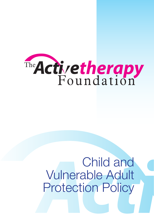

# Child and Vulnerable Adult Protection Policy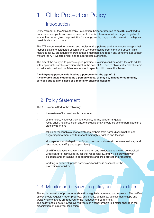# 1 Child Protection Policy

#### 1.1 Introduction

Every member of the Active therapy Foundation, hereafter referred to as ATF, is entitled to do so in an enjoyable and safe environment. The ATF have a moral and legal obligation to ensure that, when given responsibility for young people, they provide them with the highest possible standard of care.

The ATF is committed to devising and implementing policies so that everyone accepts their responsibilities to safeguard children and vulnerable adults from harm and abuse. This means to follow procedures to protect those members and report any concerns about their welfare the ATF welfare officer and to appropriate authorities.

The aim of the policy is to promote good practice, providing children and vulnerable adults with appropriate safety/protection whilst in the care of ATF and to allow staff and volunteers to make informed and confident responses to specific child protection issues.

**A child/young person is defined as a person under the age of 18 A vulnerable adult is defined as a person who is, or may be, in need of community services due to age, illness or a mental or physical disability**

#### 1.2 Policy Statement

The ATF is committed to the following:

- the welfare of its members is paramount
- all members, whatever their age, culture, ability, gender, language, racial origin, religious belief and/or sexual identity should be able to participate in a safe environment
- taking all reasonable steps to protect members from harm, discrimination and degrading treatment and to respect their rights, wishes and feelings
- all suspicions and allegations of poor practice or abuse will be taken seriously and responded to swiftly and appropriately
- all ATF employees who work with children and vulnerable adults will be recruited with regard to their suitability for that responsibility, and will be provided with guidance and/or training in good practice and child protection procedures
	- working in partnership with parents and children is essential for the protection of children

#### 1.3 Monitor and review the policy and procedures

The implementation of procedures should be regularly monitored and reviewed. The welfare officer should regularly report progress, challenges, difficulties, achievements gaps and areas where changes are required to the management committee. The policy should be reviewed every 3 years or whenever there is a major change in the organisation or in relevant legislation.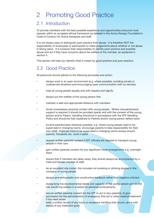# 2 Promoting Good Practice

#### 2.1 Introduction

To provide members with the best possible experience and opportunities everyone must operate within an accepted ethical framework as detailed in the Active therapy Foundation's Code of Conduct for Active therapists and staff.

It is not always easy to distinguish poor practice from abuse. It is therefore NOT the responsibility of employees or participants to make judgements about whether or not abuse is taking place. It is however their responsibility to identify poor practice and possible abuse and act if they have concerns about the welfare of the member, as explained in section 4.

This section will help you identify what is meant by good practice and poor practice.

#### 2.2 Good Practice

All personnel should adhere to the following principles and action:

- always work in an open environment (e.g. where possible, avoiding private or unobserved situations and encouraging open communication with no secrets)
- treat all young people equally and with respect and dignity
- always put the welfare of the young person first
- maintain a safe and appropriate distance with members
- Avoid unnecessary physical contact with young people. Where manual/physical support is required it should be provided openly and with the consent of the young person and/or Parent. Handling should be in accordance with the ATF Handling Policy and should be fully explained to Parents and/or young person before hand.
- Involve parents/cares wherever possible, e.g. where young people need to be supervised in changing rooms, encourage parents to take responsibility for their own child. If groups have to be supervised in changing rooms always ensure parents, therapists etc. work in pairs
- request written parental consent if ATF officials are required to transport young people in their cars
- gain written parental consent for any significant travel arrangements e.g. overnight stays
- ensure that if members are taken away, they should always be accompanied by a male and female member of staff
- be an excellent role model, this includes not smoking or drinking alcohol in the company of young people
- always give enthusiastic and constructive feedback rather than negative criticism
- recognising the developmental needs and capacity of the young person and do not risk sacrificing welfare in a desire for personal achievements.
- secure written parental consent for the ATF to act in loco parentis, to give permission for the administration of emergency first aid or other medical treatment if the need arises
	- keep a written record of any injury or excessive handling that occurs, along with details of any treatment given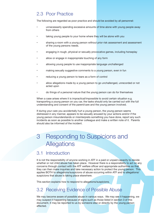## 2.3 Poor Practice

The following are regarded as poor practice and should be avoided by all personnel:

- unnecessarily spending excessive amounts of time alone with young people away from others
- taking young people to your home where they will be alone with you
- sharing a room with a young person without prior risk assessment and assessment of the young persons needs.
- engaging in rough, physical or sexually provocative games, including horseplay
- allow or engage in inappropriate touching of any form
- allowing young people to use inappropriate language unchallenged
- making sexually suggestive comments to a young person, even in fun
- reducing a young person to tears as a form of control
- allow allegations made by a young person to go unchallenged, unrecorded or not acted upon
- do things of a personal nature that the young person can do for themselves

When a case arises where it is impractical/impossible to avoid certain situation e.g. transporting a young person on you car, the tasks should only be carried out with the full understanding and consent of the parent/care and the young person involved.

If during your care you accidentally hurt a young person, the young person seems distressed in any manner, appears to be sexually aroused by your actions and/or if the young person misunderstands or misinterprets something you have done, report any such incidents as soon as possible to another colleague and make a written note of it. Parents should also be informed of the incident.

# 3 Responding to Suspicions and **Allegations**

#### 3.1 Introduction

It is not the responsibility of anyone working in ATF in a paid or unpaid capacity to decide whether or not child abuse has taken place. However there is a responsibility to act on any concerns through contact with the ATF welfare officer and appropriate authorities so that they can then make inquiries and take necessary action to protect the young person. This applies BOTH to allegations/suspicions of abuse occurring within ATF and to allegations/ suspicions that abuse is taking place elsewhere.

This section explains how to respond to allegations/suspicions.

#### 3.2 Receiving Evidence of Possible Abuse

We may become aware of possible abuse in various ways. We may see it happening, we may suspect it happening because of signs such as those listed in section 3 of this document, it may be reported to us by someone else or directly by the young person affected.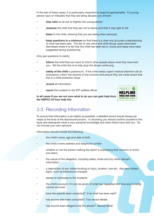In the last of these cases, it is particularly important to respond appropriately. If a young person says or indicates that they are being abused, you should:

- stay calm so as not to frighten the young person
- reassure the child that they are not to blame and that it was right to tell
- **listen** to the child, showing that you are taking them seriously
- **keep questions to a minimum** so that there is a clear and accurate understanding of what has been said. The law is very strict and child abuse cases have been dismissed where it is felt that the child has been led or words and ideas have been suggested during questioning.

Only ask questions to clarify:

- **inform** the child that you have to inform other people about what they have told you. Tell the child this is to help stop the abuse continuing.
- **safety of the child** is paramount. If the child needs urgent medical attention call an ambulance, inform the doctors of the concern and ensure they are made aware that this is a child protection issue
- **record** all information
- report the incident to the ATF welfare officer

NSPCC C 0808 800 5000 help@nspcc.org.uk

#### **In all cases if you are not sure what to do you can gain help from the NSPCC 24 hour help line**

#### 3.3 Recording Information

To ensure that information is as helpful as possible, a detailed record should always be made at the time of the disclosure/concern. In recording you should confine yourself to the facts and distinguish what is your personal knowledge and what others have told you. Do not include your own opinions.

Information should include the following:

- the child's name, age and date of birth
- the child's home address and telephone number
- whether or not the person making the report is expressing their concern or some one else's
- the nature of the allegation, including dates, times and any other relevant information
- a description of any visible bruising or injury, location, size etc. Also any indirect signs, such as behavioural changes
- details of witnesses to the incidents
- the child's account, if it can be given, of what has happened and how any bruising/ injuries occurred
- have the parents been contacted? If so what has been said?
- has anyone else been consulted? If so record details
- has anyone been alleged to be the abuser? Record detail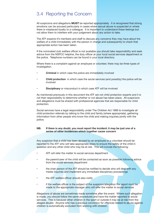#### 3.4 Reporting the Concern

All suspicions and allegations **MUST** be reported appropriately. It is recognised that strong emotions can be aroused particularly in cases where sexual abuse is suspected or where there is misplaced loyalty to a colleague. It is important to understand these feelings but not allow them to interfere with your judgement about any action to take.

The ATF expects it's members and staff to discuss any concerns they may have about the welfare of a child immediately with the person in charge and subsequently to check that appropriate action has been taken.

If the nominated club welfare officer is not available you should take responsibility and seek advice from the NSPCC helpline, the duty officer at your local social services department or the police. Telephone numbers can be found in your local directory.

Where there is a complaint against an employee or volunteer, there may be three types of investigation.

- **Criminal** in which case the police are immediately involved
- **Child protection** in which case the social services (and possibly) the police will be involved
- **Disciplinary** or misconduct in which case ATF will be involved

As mentioned previously in this document the ATF are not child protection experts and it is not their responsibility to determine whether or not abuse has taken place. All suspicions and allegations must be shared with professional agencies that are responsible for child protection.

Social services have a legal responsibility under The Children Act 1989 to investigate all child protection referrals by talking to the child and family (where appropriate), gathering information from other people who know the child and making inquiries jointly with the police.

#### **NB: If there is any doubt, you must report the incident: it may be just one of a series of other incidences which together cause concern**

Any suspicion that a child has been abused by an employee or a volunteer should be reported to the ATF who will take appropriate steps to ensure the safety of the child in question and any other child who may be at risk. This will include the following:

- ATF will refer the matter to social services department
- the parent/carer of the child will be contacted as soon as possible following advice from the social services department
- the chair person of the ATF should be notified to decide who will deal with any media inquiries and implement any immediate disciplinary proceedings
- the ATF welfare officer should also notify
- if the welfare officer is the subject of the suspicion/allegation the report must be made to the appropriate manager who will refer the matter to social services

Allegations of abuse are sometimes made sometime after the event. Where such allegation is made, you should follow the same procedures and have the matter reported to social services. This is because other children in the sport or outside it may be at risk from the alleged abuser. Anyone who has a previous conviction for offences related to abuse against children is automatically excluded from working with children.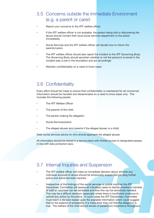## 3.5 Concerns outside the immediate Environment (e.g. a parent or carer)

- Report your concerns to the ATF welfare officer
- If the ATF welfare officer is not available, the person being told or discovering the abuse should contact their local social services department or the police immediately
- Social Services and the ATF welfare officer will decide how to inform the parents/carers
- The ATF welfare officer should also report the incident to the ATF Governing Body. The Governing Body should ascertain whether or not the person/s involved in the incident play a role in the foundation and act accordingly
- Maintain confidentiality on a need to know basis

#### 3.6 Confidentiality

Every effort should be made to ensure that confidentiality is maintained for all concerned. Information should be handled and disseminated on a need to know basis only. This includes the following people:

- The ATF Welfare Officer
- The parents of the child
- The person making the allegation
- Social Services/police
- The alleged abuser (and parents if the alleged abuser is a child)

Seek social services advice on who should approach the alleged abuser.

All information should be stored in a secure place with limited access to designated people, in line with data protection laws.

## 3.7 Internal Inquiries and Suspension

The ATF welfare officer will make an immediate decision about whether any individual accused of abuse should be temporarily suspended pending further police and social services inquiries

Irrespective of the findings of the social services or police inquiries the ATF Disciplinary Committee will assess all individual cases to decide whether a member of staff or volunteer can be reinstated and how this can be sensitively handled. This may be a difficult decision; especially where there is insufficient evidence to uphold any action by the police. In such cases the ATF Disciplinary Committee must reach a decision based upon the available information which could suggest that on the balance of probability, it is more likely than not that the allegation is true. The welfare of the child should remain of paramount importance throughout.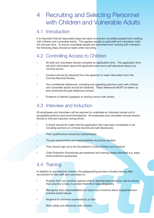# 4 Recruiting and Selecting Personnel with Children and Vulnerable Adults

#### 4.1 Introduction

It is important that all reasonable steps are taken to prevent unsuitable people from working with children and vulnerable adults. This applies equally to paid staff and volunteers, both full and part time. To ensure unsuitable people are prevented from working with members the following steps should be taken when recruiting.

## 4.2 Controlling Access to Children

- All staff and volunteers should complete an application form. The application form will elicit information about the applicants past and a self disclosure about any criminal record.
- Consent should be obtained from the applicant to seek information from the Criminal Records Bureau.
- Two confidential references, including one regarding previous work with children and vulnerable adults should be obtained. These references MUST be taken up and confirmed through telephone contact.
- Evidence of identity (passport or driving licence with photo)

## 4.3 Interview and Induction

All employees and volunteers will be required to undertake an interview carried out to acceptable protocol and recommendations. All employees and volunteers should receive formal or informal induction during which:

- A check should be made that the application form has been completed in full, including sections on criminal records and self disclosures
- Their qualifications should be substantiated
- The job requirements and responsibilities should be clarified
- They should sign up to the foundation's Code of Ethics and Conduct
- Child Protection Procedures are explained and training needs identified e.g. basic child protection awareness

## 4.4 Training

In addition to pre-selection checks, the safeguarding process includes training after recruitment to help staff and volunteers to:

- Analyse their own practice against what is deemed good practice, and to ensure their practice is likely to protect them from false allegations
- Recognise their responsibilities and report any concerns about suspected poor practice and/or abuse
- Respond to concerns expressed by a child
	- Work safely and effectively with children